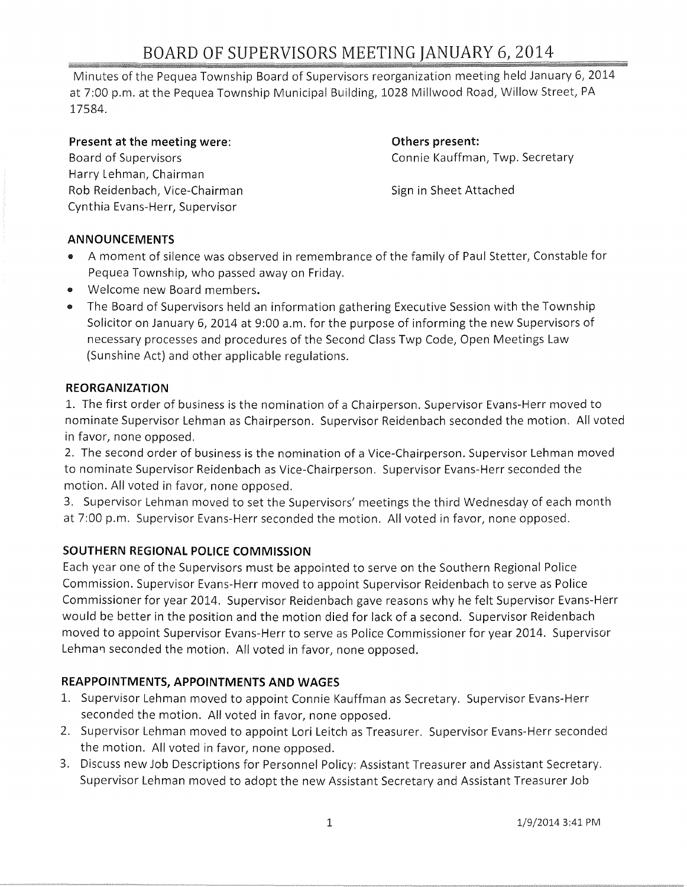# BOARD OF SUPERVISORS MEETING JANUARY 6,2014

Minutes of the Pequea Township Board of Supervisors reorganization meeting held January 6, 2014 at 7:00 p.m. at the Pequea Township Municipal Building, 1028 Millwood Road, Willow Street, PA 17584.

**Present at the meeting were:**  Board of Supervisors Harry lehman, Chairman Rob Reidenbach, Vice-Chairman Cynthia Evans-Herr, Supervisor

**Others present:**  Connie Kauffman, Twp. Secretary

Sign in Sheet Attached

## **ANNOUNCEMENTS**

- e A moment of silence was observed in remembrance of the family of Paul Stetter, Constable for Pequea Township, who passed away on Friday.
- e Welcome new Board members.
- e The Board of Supervisors held an information gathering Executive Session with the Township Solicitor on January 6, 2014 at 9:00 a.m. for the purpose of informing the new Supervisors of necessary processes and procedures of the Second Class Twp Code, Open Meetings Law (Sunshine Act) and other applicable regulations.

#### **REORGANIZATION**

1. The first order of business is the nomination of a Chairperson. Supervisor Evans-Herr moved to nominate Supervisor Lehman as Chairperson. Supervisor Reidenbach seconded the motion. All voted in favor, none opposed.

2. The second order of business is the nomination of a Vice-Chairperson. Supervisor Lehman moved to nominate Supervisor Reidenbach as Vice-Chairperson. Supervisor Evans-Herr seconded the motion. All voted in favor, none opposed.

3. Supervisor Lehman moved to set the Supervisors' meetings the third Wednesday of each month at 7:00 p.m. Supervisor Evans-Herr seconded the motion. All voted in favor, none opposed.

## **SOUTHERN REGIONAL POLICE COMMISSION**

Each year one of the Supervisors must be appointed to serve on the Southern Regional Police Commission. Supervisor Evans-Herr moved to appoint Supervisor Reidenbach to serve as Police Commissioner for year 2014. Supervisor Reidenbach gave reasons why he felt Supervisor Evans-Herr would be better in the position and the motion died for lack of a second. Supervisor Reidenbach moved to appoint Supervisor Evans-Herr to serve as Police Commissioner for year 2014. Supervisor Lehman seconded the motion. All voted in favor, none opposed.

## **REAPPOINTMENTS, APPOINTMENTS AND WAGES**

- 1. Supervisor Lehman moved to appoint Connie Kauffman as Secretary. Supervisor Evans-Herr seconded the motion. All voted in favor, none opposed.
- 2. Supervisor Lehman moved to appoint Lori Leitch as Treasurer. Supervisor Evans-Herr seconded the motion. All voted in favor, none opposed.
- 3. Discuss new Job Descriptions for Personnel Policy: Assistant Treasurer and Assistant Secretary. Supervisor Lehman moved to adopt the new Assistant Secretary and Assistant Treasurer Job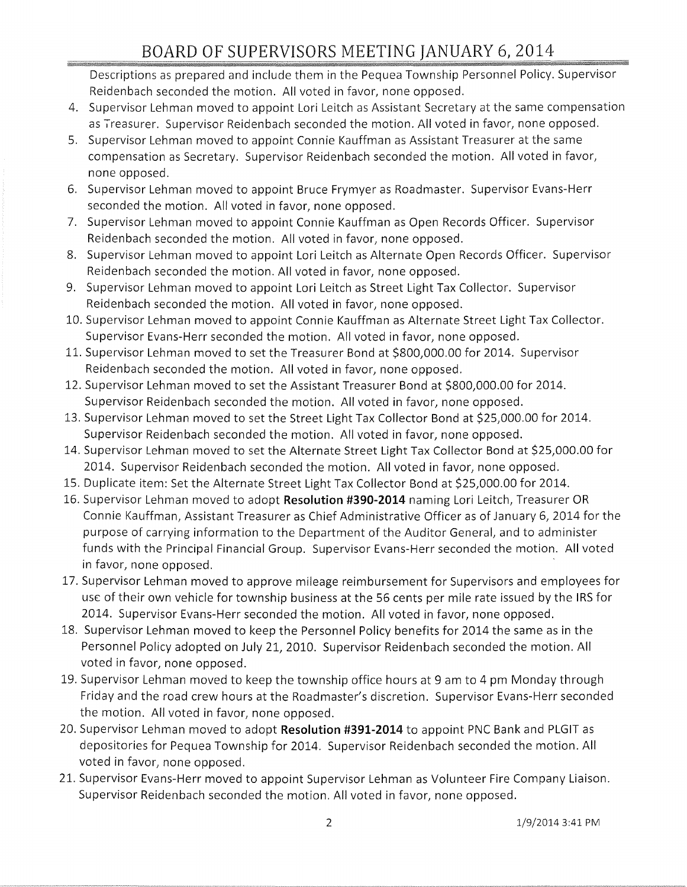Descriptions as prepared and include them in the Pequea Township Personnel Policy. Supervisor Reidenbach seconded the motion. All voted in favor, none opposed.

- 4. Supervisor Lehman moved to appoint Lori Leitch as Assistant Secretary at the same compensation as Treasurer. Supervisor Reidenbach seconded the motion. All voted in favor, none opposed.
- 5. Supervisor Lehman moved to appoint Connie Kauffman as Assistant Treasurer at the same compensation as Secretary. Supervisor Reidenbach seconded the motion. All voted in favor, none opposed.
- 6. Supervisor Lehman moved to appoint Bruce Frymyer as Roadmaster. Supervisor Evans-Herr seconded the motion. All voted in favor, none opposed.
- 7. Supervisor Lehman moved to appoint Connie Kauffman as Open Records Officer. Supervisor Reidenbach seconded the motion. All voted in favor, none opposed.
- 8. Supervisor Lehman moved to appoint Lori Leitch as Alternate Open Records Officer. Supervisor Reidenbach seconded the motion. All voted in favor, none opposed.
- 9. Supervisor Lehman moved to appoint Lori Leitch as Street Light Tax Collector. Supervisor Reidenbach seconded the motion. All voted in favor, none opposed.
- 10. Supervisor Lehman moved to appoint Connie Kauffman as Alternate Street Light Tax Collector. Supervisor Evans-Herr seconded the motion. All voted in favor, none opposed.
- 11. Supervisor Lehman moved to set the Treasurer Bond at \$800,000.00 for 2014. Supervisor Reidenbach seconded the motion. All voted in favor, none opposed.
- 12. Supervisor Lehman moved to set the Assistant Treasurer Bond at \$800,000.00 for 2014. Supervisor Reidenbach seconded the motion. All voted in favor, none opposed.
- 13. Supervisor Lehman moved to set the Street Light Tax Collector Bond at \$25,000.00 for 2014. Supervisor Reidenbach seconded the motion. All voted in favor, none opposed.
- 14. Supervisor Lehman moved to set the Alternate Street Light Tax Collector Bond at \$25,000.00 for 2014. Supervisor Reidenbach seconded the motion. All voted in favor, none opposed.
- 15. Duplicate item: Set the Alternate Street Light Tax Collector Bond at \$25,000.00 for 2014.
- 16. Supervisor Lehman moved to adopt **Resolution #390-2014** naming Lori Leitch, Treasurer OR Connie Kauffman, Assistant Treasurer as Chief Administrative Officer as of January 6, 2014 for the purpose of carrying information to the Department of the Auditor General, and to administer funds with the Principal Financial Group. Supervisor Evans-Herr seconded the motion. All voted in favor, none opposed.
- 17. Supervisor Lehman moved to approve mileage reimbursement for Supervisors and employees for use of their own vehicle for township business at the 56 cents per mile rate issued by the IRS for 2014. Supervisor Evans-Herr seconded the motion. All voted in favor, none opposed.
- 18. Supervisor Lehman moved to keep the Personnel Policy benefits for 2014 the same as in the Personnel Policy adopted on July 21, 2010. Supervisor Reidenbach seconded the motion. All voted in favor, none opposed.
- 19. Supervisor Lehman moved to keep the township office hours at 9 am to 4 pm Monday through Friday and the road crew hours at the Roadmaster's discretion. Supervisor Evans-Herr seconded the motion. All voted in favor, none opposed.
- 20. Supervisor Lehman moved to adopt **Resolution #391-2014** to appoint PNC Bank and PLGIT as depositories for Pequea Township for 2014. Supervisor Reidenbach seconded the motion. All voted in favor, none opposed.
- 21. Supervisor Evans-Herr moved to appoint Supervisor Lehman as Volunteer Fire Company Liaison. Supervisor Reidenbach seconded the motion. All voted in favor, none opposed.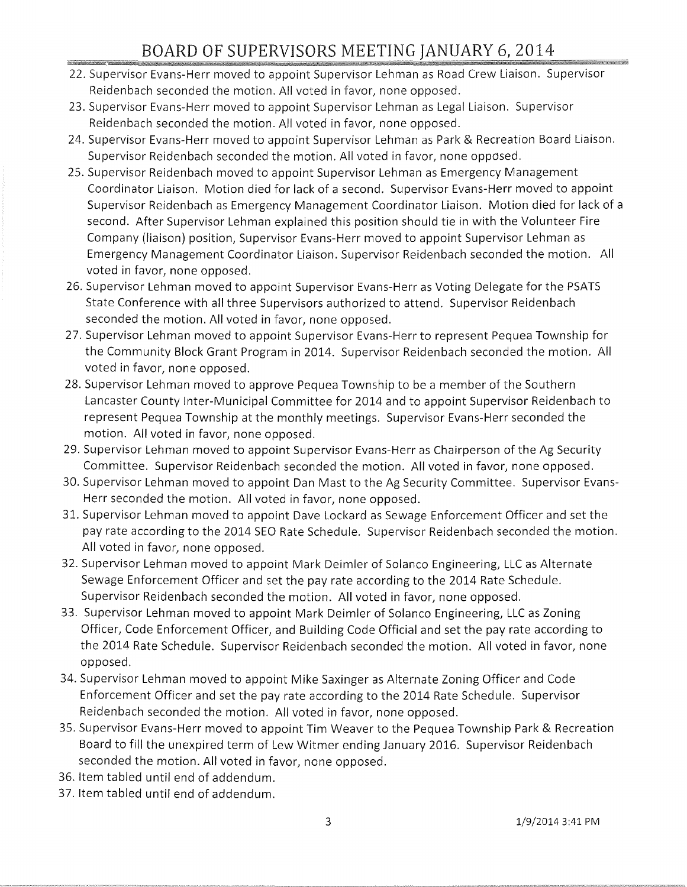- 22. Supervisor Evans-Herr moved to appoint Supervisor Lehman as Road Crew Liaison. Supervisor Reidenbach seconded the motion. All voted in favor, none opposed.
- 23. Supervisor Evans-Herr moved to appoint Supervisor Lehman as Legal Liaison. Supervisor Reidenbach seconded the motion. All voted in favor, none opposed.
- 24. Supervisor Evans-Herr moved to appoint Supervisor Lehman as Park & Recreation Board Liaison. Supervisor Reidenbach seconded the motion. All voted in favor, none opposed.
- 25. Supervisor Reidenbach moved to appoint Supervisor Lehman as Emergency Management Coordinator Liaison. Motion died for lack of a second. Supervisor Evans-Herr moved to appoint Supervisor Reidenbach as Emergency Management Coordinator Liaison. Motion died for lack of a second. After Supervisor Lehman explained this position should tie in with the Volunteer Fire Company (liaison) position, Supervisor Evans-Herr moved to appoint Supervisor Lehman as Emergency Management Coordinator Liaison. Supervisor Reidenbach seconded the motion. All voted in favor, none opposed.
- 26. Supervisor Lehman moved to appoint Supervisor Evans-Herr as Voting Delegate for the PSATS State Conference with all three Supervisors authorized to attend. Supervisor Reidenbach seconded the motion. All voted in favor, none opposed.
- 27. Supervisor Lehman moved to appoint Supervisor Evans-Herr to represent Pequea Township for the Community Block Grant Program in 2014. Supervisor Reidenbach seconded the motion. All voted in favor, none opposed.
- 28. Supervisor Lehman moved to approve Pequea Township to be a member of the Southern Lancaster County Inter-Municipal Committee for 2014 and to appoint Supervisor Reidenbach to represent Pequea Township at the monthly meetings. Supervisor Evans-Herr seconded the motion. All voted in favor, none opposed.
- 29. Supervisor Lehman moved to appoint Supervisor Evans-Herr as Chairperson of the Ag Security Committee. Supervisor Reidenbach seconded the motion. All voted in favor, none opposed.
- 30. Supervisor Lehman moved to appoint Dan Mast to the Ag Security Committee. Supervisor Evans-Herr seconded the motion. All voted in favor, none opposed.
- 31. Supervisor Lehman moved to appoint Dave Lockard as Sewage Enforcement Officer and set the pay rate according to the 2014 SEO Rate Schedule. Supervisor Reidenbach seconded the motion. All voted in favor, none opposed.
- 32. Supervisor Lehman moved to appoint Mark Deimler of Solanco Engineering, LLC as Alternate Sewage Enforcement Officer and set the pay rate according to the 2014 Rate Schedule. Supervisor Reidenbach seconded the motion. All voted in favor, none opposed.
- 33. Supervisor Lehman moved to appoint Mark Deimler of Solanco Engineering, LLC as Zoning Officer, Code Enforcement Officer, and Building Code Official and set the pay rate according to the 2014 Rate Schedule. Supervisor Reidenbach seconded the motion. All voted in favor, none opposed.
- 34. Supervisor Lehman moved to appoint Mike Saxinger as Alternate Zoning Officer and Code Enforcement Officer and set the pay rate according to the 2014 Rate Schedule. Supervisor Reidenbach seconded the motion. All voted in favor, none opposed.
- 35. Supervisor Evans-Herr moved to appoint Tim Weaver to the Pequea Township Park & Recreation Board to fill the unexpired term of Lew Witmer ending January 2016. Supervisor Reidenbach seconded the motion. All voted in favor, none opposed.
- 36. Item tabled until end of addendum.
- 37. Item tabled until end of addendum.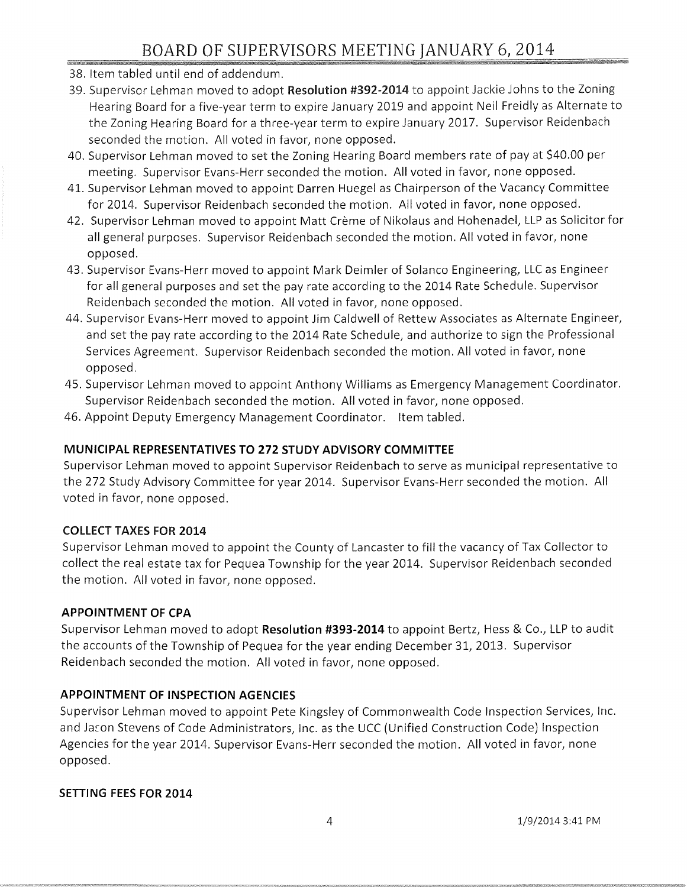- 38. Item tabled until end of addendum.
- 39. Supervisor Lehman moved to adopt Resolution #392-2014 to appoint Jackie Johns to the Zoning Hearing Board for a five-year term to expire January 2019 and appoint Neil Freidly as Alternate to the Zoning Hearing Board for a three-year term to expire January 2017. Supervisor Reidenbach seconded the motion. All voted in favor, none opposed.
- 40. Supervisor Lehman moved to set the Zoning Hearing Board members rate of pay at \$40.00 per meeting. Supervisor Evans-Herr seconded the motion. All voted in favor, none opposed.
- 41. Supervisor Lehman moved to appoint Darren Huegel as Chairperson of the Vacancy Committee for 2014. Supervisor Reidenbach seconded the motion. All voted in favor, none opposed.
- 42. Supervisor Lehman moved to appoint Matt Creme of Nikolaus and Hohenadel, LLP as Solicitor for all general purposes. Supervisor Reidenbach seconded the motion. All voted in favor, none opposed.
- 43. Supervisor Evans-Herr moved to appoint Mark Deimler of Solanco Engineering, LLC as Engineer for all general purposes and set the pay rate according to the 2014 Rate Schedule. Supervisor Reidenbach seconded the motion. All voted in favor, none opposed.
- 44. Supervisor Evans-Herr moved to appoint Jim Caldwell of Rettew Associates as Alternate Engineer, and set the pay rate according to the 2014 Rate Schedule, and authorize to sign the Professional Services Agreement. Supervisor Reidenbach seconded the motion. All voted in favor, none opposed.
- 45. Supervisor Lehman moved to appoint Anthony Williams as Emergency Management Coordinator. Supervisor Reidenbach seconded the motion. All voted in favor, none opposed.
- 46. Appoint Deputy Emergency Management Coordinator. Item tabled.

## **MUNICIPAL REPRESENTATIVES TO** 272 **STUDY ADVISORY COMMITTEE**

Supervisor Lehman moved to appoint Supervisor Reidenbach to serve as municipal representative to the 272 Study Advisory Committee for year 2014. Supervisor Evans-Herr seconded the motion. All voted in favor, none opposed.

## **COLLECT TAXES** FOR 2014

Supervisor Lehman moved to appoint the County of Lancaster to fill the vacancy of Tax Collector to collect the real estate tax for Pequea Township for the year 2014. Supervisor Reidenbach seconded the motion. All voted in favor, none opposed.

#### **APPOINTMENT OF CPA**

Supervisor Lehman moved to adopt Resolution #393-2014 to appoint Bertz, Hess & Co., LLP to audit the accounts of the Township of Pequea for the year ending December 31, 2013. Supervisor Reidenbach seconded the motion. All voted in favor, none opposed.

## **APPOINTMENT OF INSPECTION AGENCIES**

Supervisor Lehman moved to appoint Pete Kingsley of Commonwealth Code Inspection Services, Inc. and Jason Stevens of Code Administrators, Inc. as the UCC (Unified Construction Code) Inspection Agencies for the year 2014. Supervisor Evans-Herr seconded the motion. All voted in favor, none opposed.

#### **SETTING FEES** FOR 2014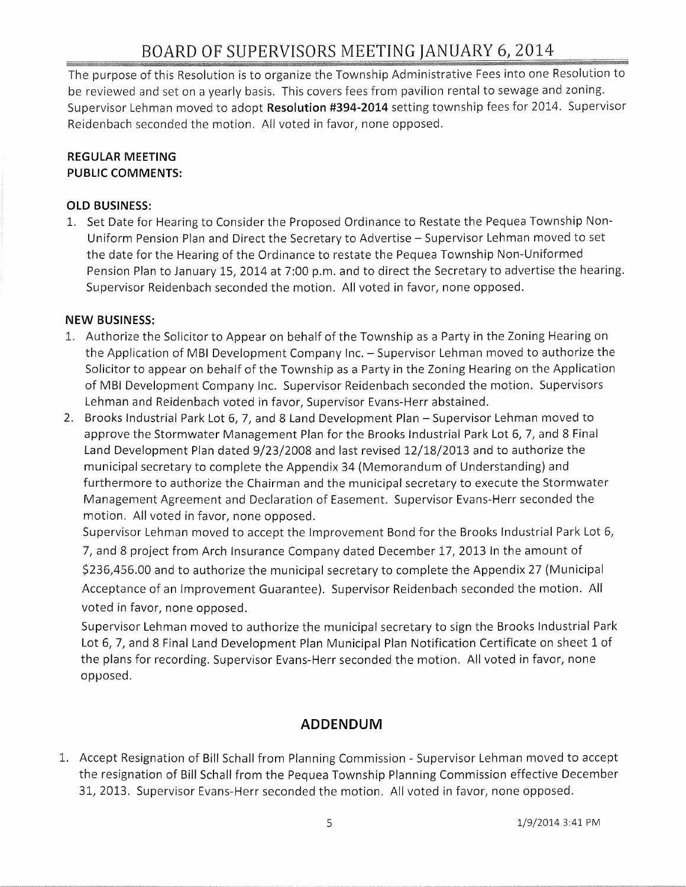# BOARD OF SUPERVISORS MEETING JANUARY 6,2014

The purpose of this Resolution is to organize the Township Administrative Fees into one Resolution to be reviewed and set on a yearly basis. This covers fees from pavilion rental to sewage and zoning. Supervisor Lehman moved to adopt **Resolution** #394-2014 setting township fees for 2014. Supervisor Reidenbach seconded the motion. All voted in favor, none opposed.

#### **REGULAR MEETING PUBLIC COMMENTS:**

#### **OLD BUSINESS:**

1. Set Date for Hearing to Consider the Proposed Ordinance to Restate the Pequea Township Non-Uniform Pension Plan and Direct the Secretary to Advertise - Supervisor Lehman moved to set the date for the Hearing of the Ordinance to restate the Pequea Township Non-Uniformed Pension Plan to January lS, 2014 at 7:00 p.m. and to direct the Secretary to advertise the hearing. Supervisor Reidenbach seconded the motion. All voted in favor, none opposed.

#### **NEW BUSINESS:**

- 1. Authorize the Solicitor to Appear on behalf of the Township as a Party in the Zoning Hearing on the Application of MBI Development Company Inc. - Supervisor Lehman moved to authorize the Solicitor to appear on behalf of the Township as a Party in the Zoning Hearing on the Application of MBI Development Company Inc. Supervisor Reidenbach seconded the motion. Supervisors Lehman and Reidenbach voted in favor, Supervisor Evans-Herr abstained.
- 2. Brooks Industrial Park Lot 6, 7, and 8 Land Development Plan Supervisor Lehman moved to approve the Stormwater Management Plan for the Brooks Industrial Park Lot 6, 7, and 8 Final Land Development Plan dated 9/23/2008 and last revised 12/18/2013 and to authorize the municipal secretary to complete the Appendix 34 (Memorandum of Understanding) and furthermore to authorize the Chairman and the municipal secretary to execute the Stormwater Management Agreement and Declaration of Easement. Supervisor Evans-Herr seconded the motion. All voted in favor, none opposed.

Supervisor Lehman moved to accept the Improvement Bond for the Brooks Industrial Park Lot 6, 7, and 8 project from Arch Insurance Company dated December 17, 2013 In the amount of \$236,456.00 and to authorize the municipal secretary to complete the Appendix 27 (Municipal Acceptance of an Improvement Guarantee). Supervisor Reidenbach seconded the motion. All voted in favor, none opposed.

Supervisor Lehman moved to authorize the municipal secretary to sign the Brooks Industrial Park Lot 6, 7, and 8 Final Land Development Plan Municipal Plan Notification Certificate on sheet 1 of the plans for recording. Supervisor Evans-Herr seconded the motion. All voted in favor, none opposed.

## **ADDENDUM**

1. Accept Resignation of Bill Schall from Planning Commission - Supervisor Lehman moved to accept the resignation of Bill Schall from the Pequea Township Planning Commission effective December 31, 2013. Supervisor Evans-Herr seconded the motion. All voted in favor, none opposed.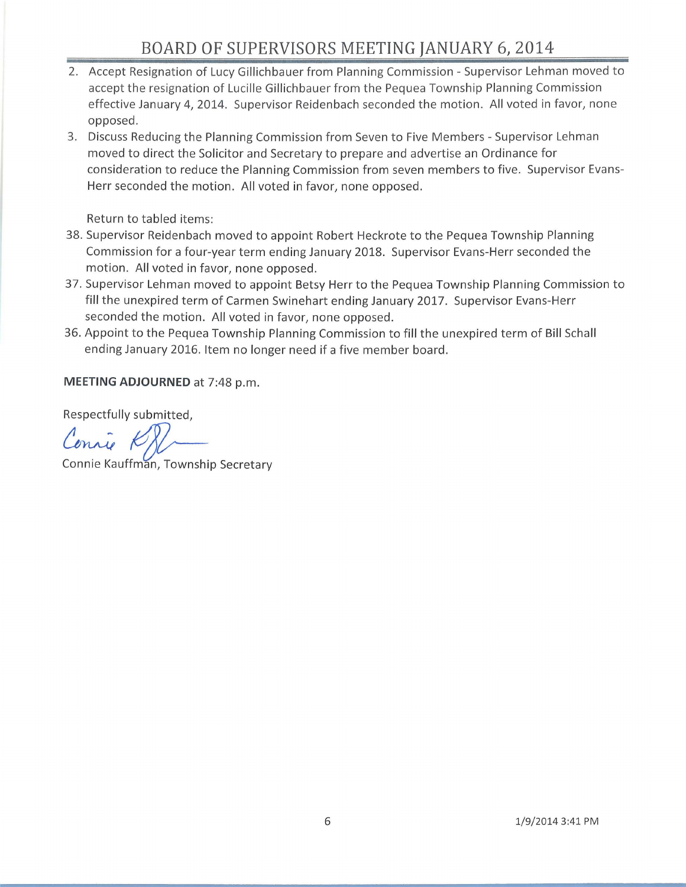# **BOARD OF SUPERVISORS MEETING JANUARY 6,2014**

- 2. Accept Resignation of Lucy Gillichbauer from Planning Commission Supervisor Lehman moved to accept the resignation of Lucille Gillichbauer from the Pequea Township Planning Commission effective January 4, 2014. Supervisor Reidenbach seconded the motion. All voted in favor, none opposed .
- 3. Discuss Reducing the Planning Commission from Seven to Five Members Supervisor Lehman moved to direct the Solicitor and Secretary to prepare and advertise an Ordinance for consideration to reduce the Planning Commission from seven members to five. Supervisor Evans-Herr seconded the motion. All voted in favor, none opposed.

Return to tabled items:

- 38. Supervisor Reidenbach moved to appoint Robert Heckrote to the Pequea Township Planning Commission for a four-year term ending January 2018. Supervisor Evans-Herr seconded the motion. All voted in favor, none opposed.
- 37. Supervisor Lehman moved to appoint Betsy Herr to the Pequea Township Planning Commission to fill the unexpired term of Carmen Swinehart ending January 2017. Supervisor Evans-Herr seconded the motion. All voted in favor, none opposed.
- 36. Appoint to the Pequea Township Planning Commission to fill the unexpired term of Bill Schall ending January 2016. Item no longer need if a five member board.

**MEETING ADJOURNED** at 7:48 p.m.

Respectfully submitted,

Respectfully submitted,<br>Connie Kauffman, Township Secretary